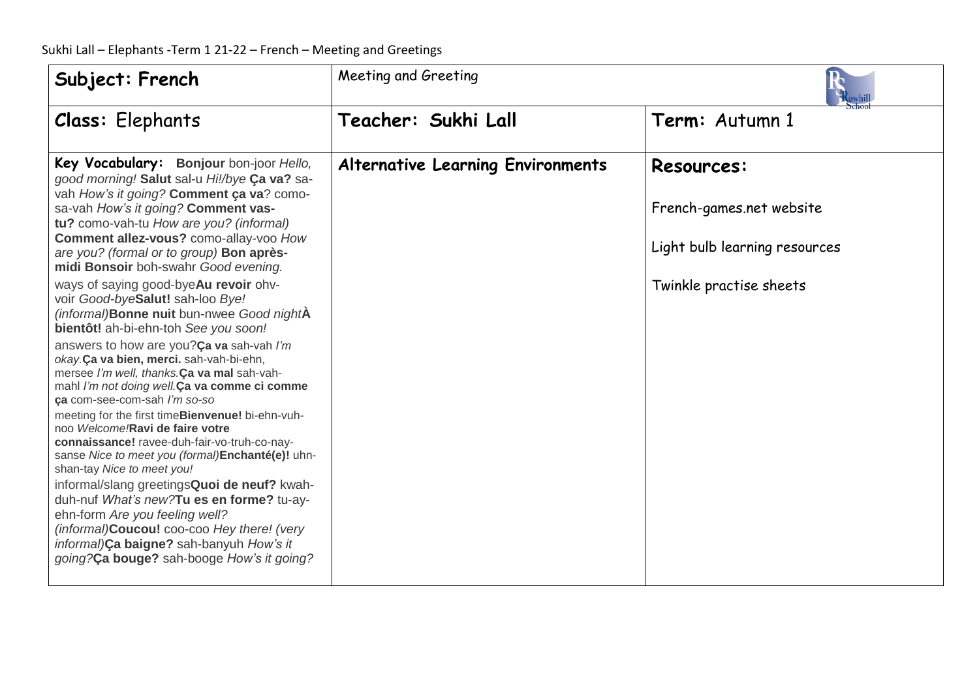| Subject: French                                                                                                                                                                                                                                                                                                                                                                                                                                                                                                                                                                                                                                                                                                                                                                                                                                                                                                                                                                                                                                                                                                                                                                                                                          | Meeting and Greeting                     |                                                                                                           |
|------------------------------------------------------------------------------------------------------------------------------------------------------------------------------------------------------------------------------------------------------------------------------------------------------------------------------------------------------------------------------------------------------------------------------------------------------------------------------------------------------------------------------------------------------------------------------------------------------------------------------------------------------------------------------------------------------------------------------------------------------------------------------------------------------------------------------------------------------------------------------------------------------------------------------------------------------------------------------------------------------------------------------------------------------------------------------------------------------------------------------------------------------------------------------------------------------------------------------------------|------------------------------------------|-----------------------------------------------------------------------------------------------------------|
| Class: Elephants                                                                                                                                                                                                                                                                                                                                                                                                                                                                                                                                                                                                                                                                                                                                                                                                                                                                                                                                                                                                                                                                                                                                                                                                                         | Teacher: Sukhi Lall                      | Term: Autumn 1                                                                                            |
| Key Vocabulary: Bonjour bon-joor Hello,<br>good morning! Salut sal-u Hi!/bye Ca va? sa-<br>vah How's it going? Comment ça va? como-<br>sa-vah How's it going? Comment vas-<br>tu? como-vah-tu How are you? (informal)<br>Comment allez-vous? como-allay-voo How<br>are you? (formal or to group) Bon après-<br>midi Bonsoir boh-swahr Good evening.<br>ways of saying good-byeAu revoir ohv-<br>voir Good-byeSalut! sah-loo Bye!<br>(informal)Bonne nuit bun-nwee Good nightA<br>bientôt! ah-bi-ehn-toh See you soon!<br>answers to how are you?Ca va sah-vah I'm<br>okay.Ça va bien, merci. sah-vah-bi-ehn,<br>mersee I'm well, thanks.Ca va mal sah-vah-<br>mahl I'm not doing well.Ca va comme ci comme<br>ca com-see-com-sah I'm so-so<br>meeting for the first timeBienvenue! bi-ehn-vuh-<br>noo Welcome!Ravi de faire votre<br>connaissance! ravee-duh-fair-vo-truh-co-nay-<br>sanse Nice to meet you (formal)Enchanté(e)! uhn-<br>shan-tay Nice to meet you!<br>informal/slang greetingsQuoi de neuf? kwah-<br>duh-nuf What's new? Tu es en forme? tu-ay-<br>ehn-form Are you feeling well?<br>(informal)Coucou! coo-coo Hey there! (very<br>informal)Ça baigne? sah-banyuh How's it<br>going?Ca bouge? sah-booge How's it going? | <b>Alternative Learning Environments</b> | <b>Resources:</b><br>French-games.net website<br>Light bulb learning resources<br>Twinkle practise sheets |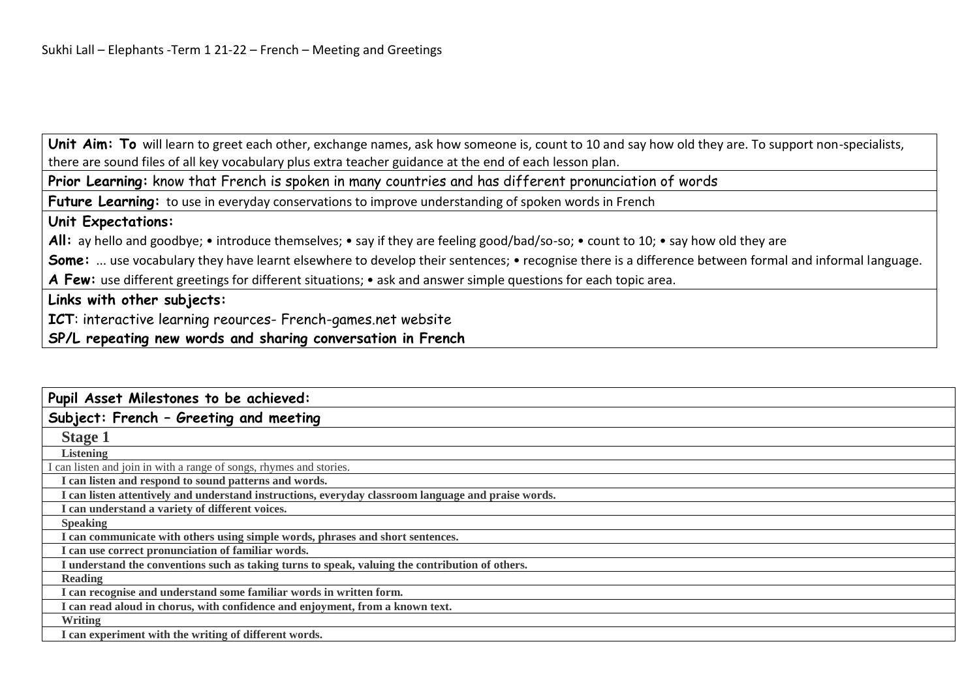Unit Aim: To will learn to greet each other, exchange names, ask how someone is, count to 10 and say how old they are. To support non-specialists, there are sound files of all key vocabulary plus extra teacher guidance at the end of each lesson plan.

**Prior Learning:** know that French is spoken in many countries and has different pronunciation of words

**Future Learning:** to use in everyday conservations to improve understanding of spoken words in French

## **Unit Expectations:**

All: ay hello and goodbye; • introduce themselves; • say if they are feeling good/bad/so-so; • count to 10; • say how old they are

Some: ... use vocabulary they have learnt elsewhere to develop their sentences; • recognise there is a difference between formal and informal language.

**A Few:** use different greetings for different situations; • ask and answer simple questions for each topic area.

## **Links with other subjects:**

**ICT**: interactive learning reources- French-games.net website

## **SP/L repeating new words and sharing conversation in French**

| Pupil Asset Milestones to be achieved:                                                              |
|-----------------------------------------------------------------------------------------------------|
| Subject: French - Greeting and meeting                                                              |
| <b>Stage 1</b>                                                                                      |
| <b>Listening</b>                                                                                    |
| I can listen and join in with a range of songs, rhymes and stories.                                 |
| I can listen and respond to sound patterns and words.                                               |
| I can listen attentively and understand instructions, everyday classroom language and praise words. |
| I can understand a variety of different voices.                                                     |
| <b>Speaking</b>                                                                                     |
| I can communicate with others using simple words, phrases and short sentences.                      |
| I can use correct pronunciation of familiar words.                                                  |
| I understand the conventions such as taking turns to speak, valuing the contribution of others.     |
| Reading                                                                                             |
| I can recognise and understand some familiar words in written form.                                 |
| I can read aloud in chorus, with confidence and enjoyment, from a known text.                       |
| <b>Writing</b>                                                                                      |
| I can experiment with the writing of different words.                                               |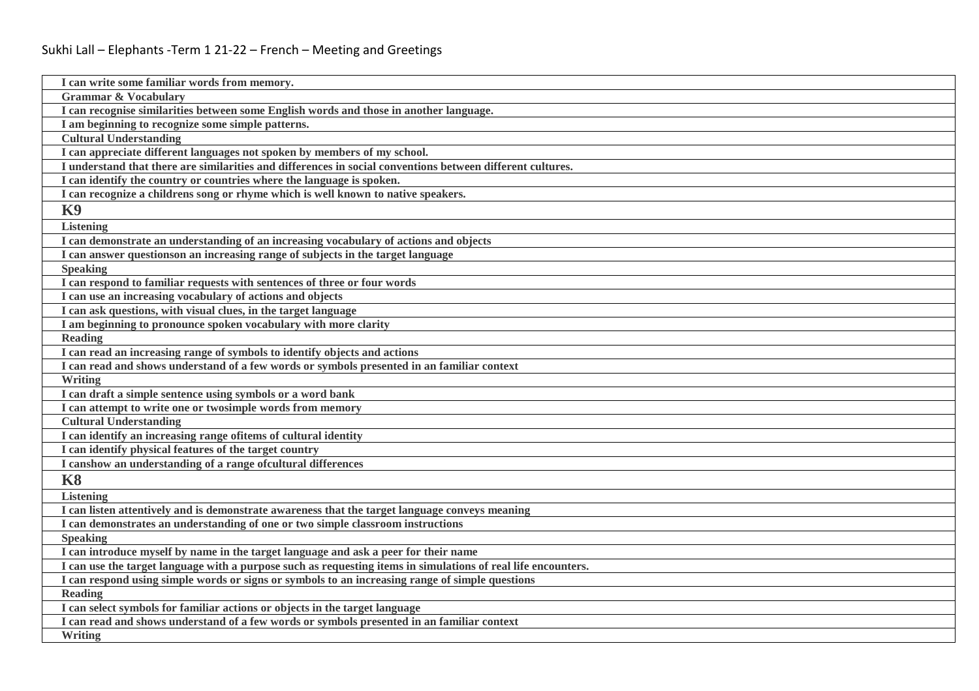| I can write some familiar words from memory.                                                                  |
|---------------------------------------------------------------------------------------------------------------|
| <b>Grammar &amp; Vocabulary</b>                                                                               |
| I can recognise similarities between some English words and those in another language.                        |
| I am beginning to recognize some simple patterns.                                                             |
| <b>Cultural Understanding</b>                                                                                 |
| I can appreciate different languages not spoken by members of my school.                                      |
| I understand that there are similarities and differences in social conventions between different cultures.    |
| I can identify the country or countries where the language is spoken.                                         |
| I can recognize a childrens song or rhyme which is well known to native speakers.                             |
| <b>K9</b>                                                                                                     |
| <b>Listening</b>                                                                                              |
| I can demonstrate an understanding of an increasing vocabulary of actions and objects                         |
| I can answer questionson an increasing range of subjects in the target language                               |
| <b>Speaking</b>                                                                                               |
| I can respond to familiar requests with sentences of three or four words                                      |
| I can use an increasing vocabulary of actions and objects                                                     |
| I can ask questions, with visual clues, in the target language                                                |
| I am beginning to pronounce spoken vocabulary with more clarity                                               |
| <b>Reading</b>                                                                                                |
| I can read an increasing range of symbols to identify objects and actions                                     |
| I can read and shows understand of a few words or symbols presented in an familiar context                    |
| Writing                                                                                                       |
| I can draft a simple sentence using symbols or a word bank                                                    |
| I can attempt to write one or two simple words from memory                                                    |
| <b>Cultural Understanding</b>                                                                                 |
| I can identify an increasing range of items of cultural identity                                              |
| I can identify physical features of the target country                                                        |
| I canshow an understanding of a range of cultural differences                                                 |
| <b>K8</b>                                                                                                     |
| <b>Listening</b>                                                                                              |
| I can listen attentively and is demonstrate awareness that the target language conveys meaning                |
| I can demonstrates an understanding of one or two simple classroom instructions                               |
| <b>Speaking</b>                                                                                               |
| I can introduce myself by name in the target language and ask a peer for their name                           |
| I can use the target language with a purpose such as requesting items in simulations of real life encounters. |
| I can respond using simple words or signs or symbols to an increasing range of simple questions               |
| <b>Reading</b>                                                                                                |
| I can select symbols for familiar actions or objects in the target language                                   |
| I can read and shows understand of a few words or symbols presented in an familiar context                    |
| <b>Writing</b>                                                                                                |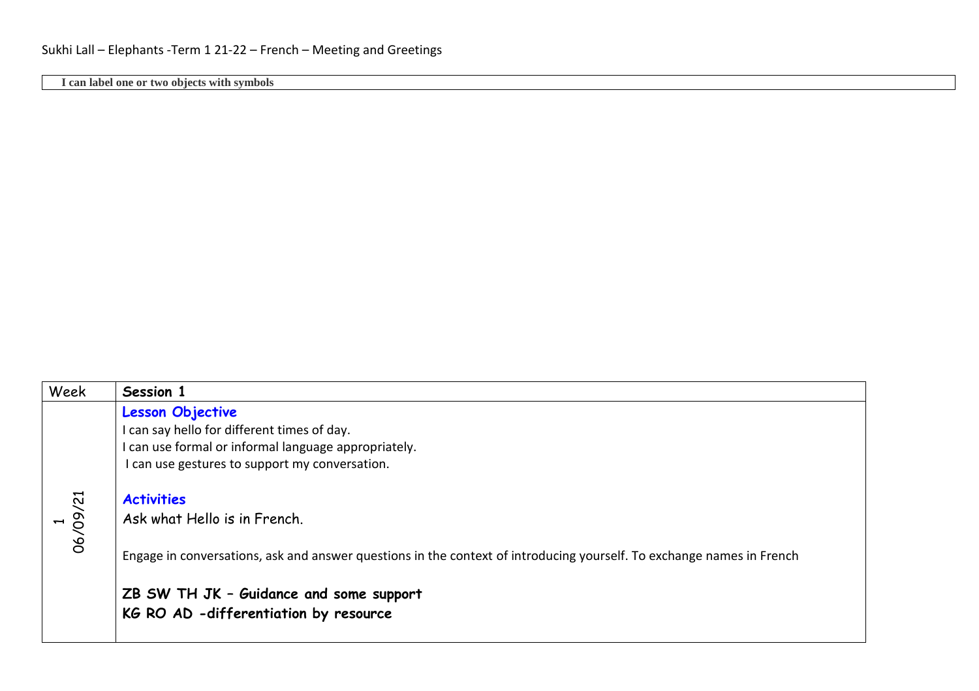**I can label one or two objects with symbols**

| Week     | Session 1                                                                                                             |
|----------|-----------------------------------------------------------------------------------------------------------------------|
|          | <b>Lesson Objective</b>                                                                                               |
|          | I can say hello for different times of day.                                                                           |
|          | I can use formal or informal language appropriately.                                                                  |
|          | I can use gestures to support my conversation.                                                                        |
|          | <b>Activities</b>                                                                                                     |
| 06/09/21 | Ask what Hello is in French.                                                                                          |
|          | Engage in conversations, ask and answer questions in the context of introducing yourself. To exchange names in French |
|          | ZB SW TH JK - Guidance and some support                                                                               |
|          | KG RO AD -differentiation by resource                                                                                 |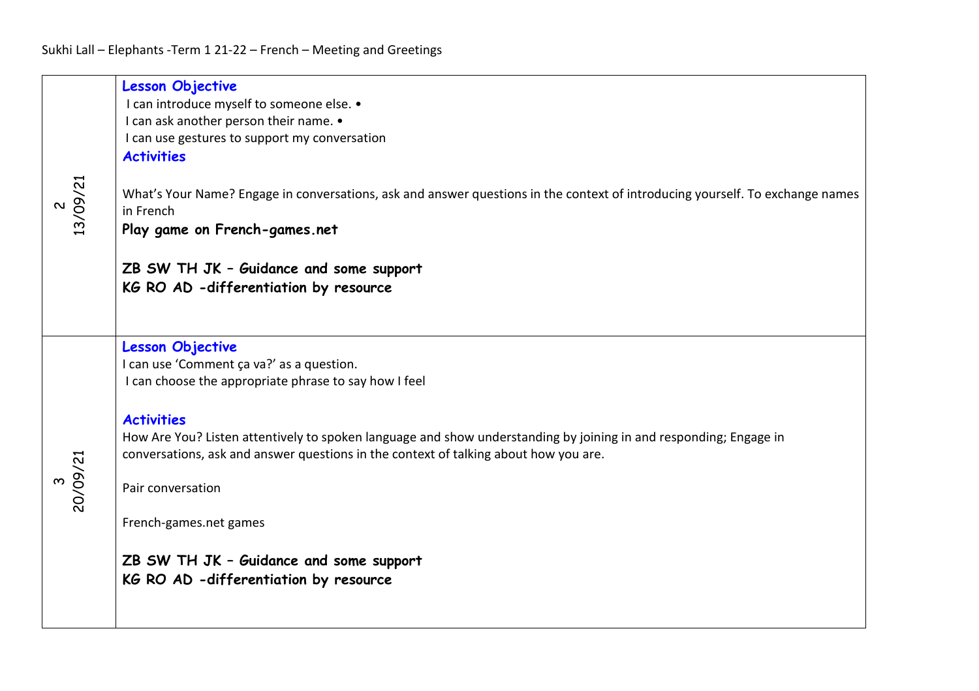| 13/09/21 | <b>Lesson Objective</b><br>I can introduce myself to someone else. .<br>I can ask another person their name. •<br>I can use gestures to support my conversation<br><b>Activities</b><br>What's Your Name? Engage in conversations, ask and answer questions in the context of introducing yourself. To exchange names<br>in French<br>Play game on French-games.net<br>ZB SW TH JK - Guidance and some support<br>KG RO AD -differentiation by resource                                            |
|----------|----------------------------------------------------------------------------------------------------------------------------------------------------------------------------------------------------------------------------------------------------------------------------------------------------------------------------------------------------------------------------------------------------------------------------------------------------------------------------------------------------|
| 20/09/21 | <b>Lesson Objective</b><br>I can use 'Comment ça va?' as a question.<br>I can choose the appropriate phrase to say how I feel<br><b>Activities</b><br>How Are You? Listen attentively to spoken language and show understanding by joining in and responding; Engage in<br>conversations, ask and answer questions in the context of talking about how you are.<br>Pair conversation<br>French-games.net games<br>ZB SW TH JK - Guidance and some support<br>KG RO AD -differentiation by resource |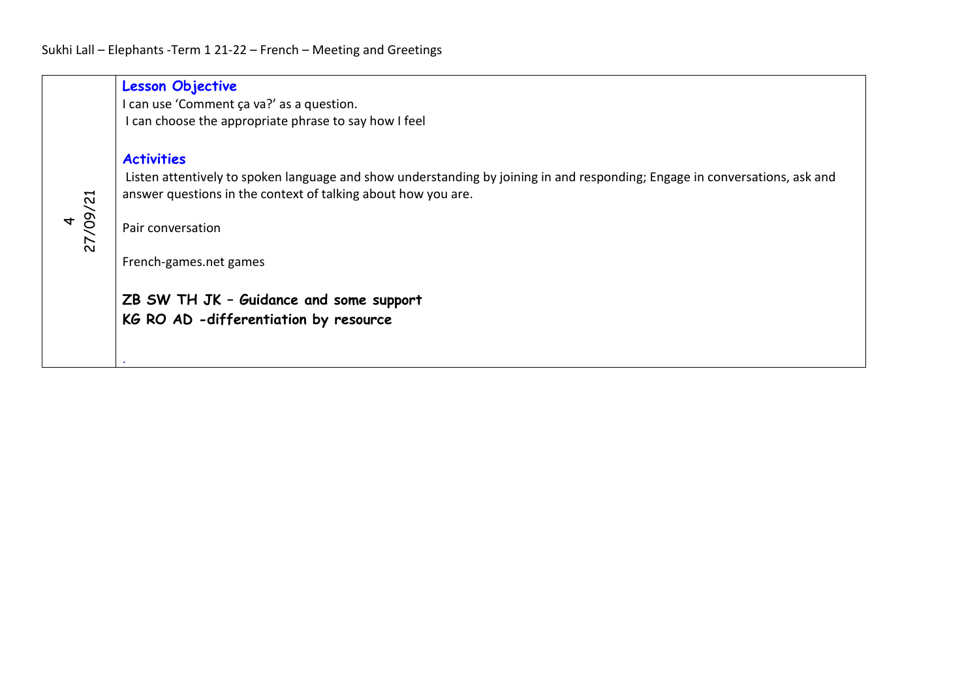|          | <b>Lesson Objective</b><br>I can use 'Comment ça va?' as a question.<br>I can choose the appropriate phrase to say how I feel                                                                                                                                                                                                                        |
|----------|------------------------------------------------------------------------------------------------------------------------------------------------------------------------------------------------------------------------------------------------------------------------------------------------------------------------------------------------------|
| 27/09/21 | <b>Activities</b><br>Listen attentively to spoken language and show understanding by joining in and responding; Engage in conversations, ask and<br>answer questions in the context of talking about how you are.<br>Pair conversation<br>French-games.net games<br>ZB SW TH JK - Guidance and some support<br>KG RO AD -differentiation by resource |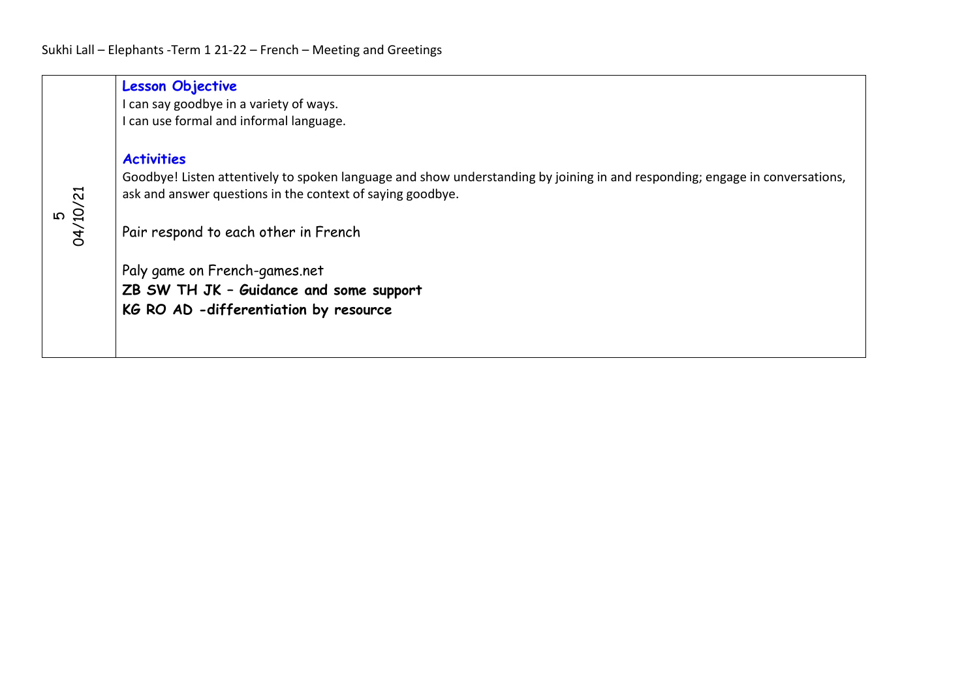|                | <b>Lesson Objective</b><br>I can say goodbye in a variety of ways.<br>can use formal and informal language.                                                                                                                                                                                                                                                                  |
|----------------|------------------------------------------------------------------------------------------------------------------------------------------------------------------------------------------------------------------------------------------------------------------------------------------------------------------------------------------------------------------------------|
| 04/10/21<br>၊ဂ | <b>Activities</b><br>Goodbye! Listen attentively to spoken language and show understanding by joining in and responding; engage in conversations,<br>ask and answer questions in the context of saying goodbye.<br>Pair respond to each other in French<br>Paly game on French-games.net<br>ZB SW TH JK - Guidance and some support<br>KG RO AD -differentiation by resource |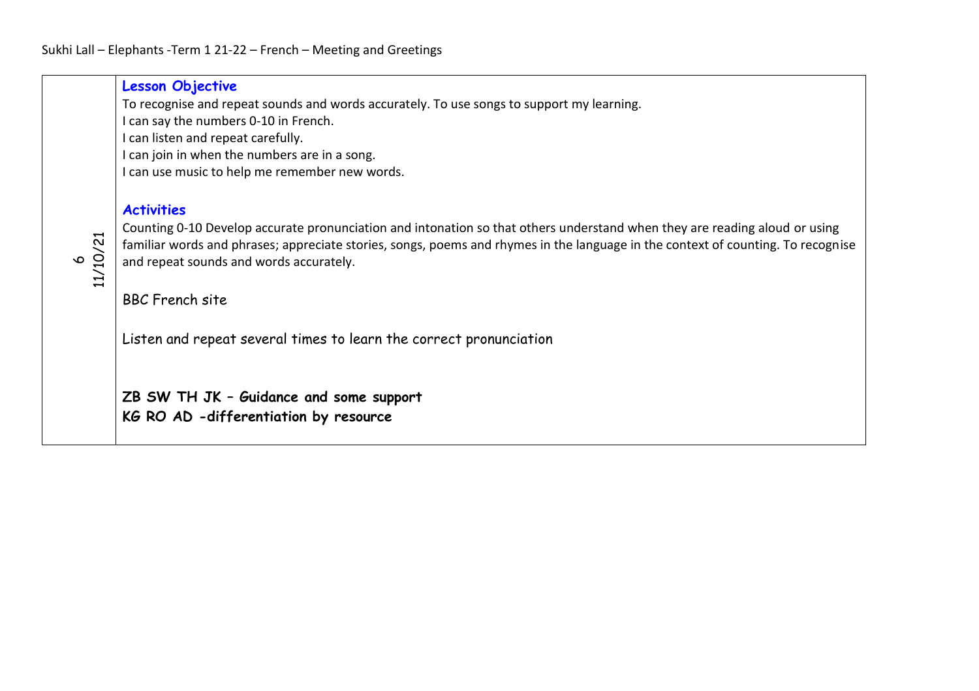|          | <b>Lesson Objective</b><br>To recognise and repeat sounds and words accurately. To use songs to support my learning.<br>I can say the numbers 0-10 in French.<br>I can listen and repeat carefully.<br>I can join in when the numbers are in a song.<br>I can use music to help me remember new words.    |
|----------|-----------------------------------------------------------------------------------------------------------------------------------------------------------------------------------------------------------------------------------------------------------------------------------------------------------|
|          | <b>Activities</b>                                                                                                                                                                                                                                                                                         |
| 11/10/21 | Counting 0-10 Develop accurate pronunciation and intonation so that others understand when they are reading aloud or using<br>familiar words and phrases; appreciate stories, songs, poems and rhymes in the language in the context of counting. To recognise<br>and repeat sounds and words accurately. |
|          | <b>BBC</b> French site                                                                                                                                                                                                                                                                                    |
|          | Listen and repeat several times to learn the correct pronunciation                                                                                                                                                                                                                                        |
|          | ZB SW TH JK - Guidance and some support<br>KG RO AD -differentiation by resource                                                                                                                                                                                                                          |